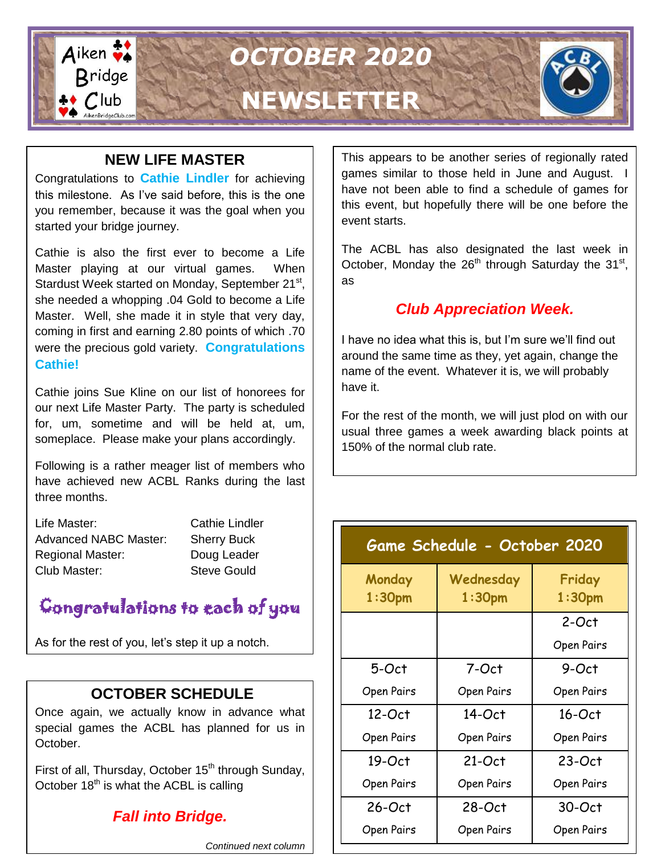

### **NEW LIFE MASTER**

Congratulations to **Cathie Lindler** for achieving this milestone. As I've said before, this is the one you remember, because it was the goal when you started your bridge journey.

Cathie is also the first ever to become a Life Master playing at our virtual games. When Stardust Week started on Monday, September 21<sup>st</sup>, she needed a whopping .04 Gold to become a Life Master. Well, she made it in style that very day, coming in first and earning 2.80 points of which .70 were the precious gold variety. **Congratulations Cathie!**

Cathie joins Sue Kline on our list of honorees for our next Life Master Party. The party is scheduled for, um, sometime and will be held at, um, someplace. Please make your plans accordingly.

Following is a rather meager list of members who have achieved new ACBL Ranks during the last three months.

| Life Master:                 |  |
|------------------------------|--|
| <b>Advanced NABC Master:</b> |  |
| <b>Regional Master:</b>      |  |
| Club Master:                 |  |

**Cathie Lindler Sherry Buck** Doug Leader Steve Gould

## Congratulations to each of you

As for the rest of you, let's step it up a notch.

## **OCTOBER SCHEDULE**

Once again, we actually know in advance what special games the ACBL has planned for us in October.

First of all, Thursday, October 15<sup>th</sup> through Sunday, October  $18<sup>th</sup>$  is what the ACBL is calling

## *Fall into Bridge.*

*Continued next column*

This appears to be another series of regionally rated games similar to those held in June and August. I have not been able to find a schedule of games for this event, but hopefully there will be one before the event starts.

The ACBL has also designated the last week in October, Monday the  $26<sup>th</sup>$  through Saturday the 31<sup>st</sup>, as

## *Club Appreciation Week.*

I have no idea what this is, but I'm sure we'll find out around the same time as they, yet again, change the name of the event. Whatever it is, we will probably have it.

For the rest of the month, we will just plod on with our usual three games a week awarding black points at 150% of the normal club rate.

| Game Schedule - October 2020 |                                 |                              |  |
|------------------------------|---------------------------------|------------------------------|--|
| Monday<br>1:30 <sub>pm</sub> | Wednesday<br>1:30 <sub>pm</sub> | Friday<br>1:30 <sub>pm</sub> |  |
|                              |                                 | 2-Oct                        |  |
|                              |                                 | Open Pairs                   |  |
| 5-Oct                        | 7-Oct                           | 9-Oct                        |  |
| Open Pairs                   | Open Pairs                      | Open Pairs                   |  |
| 12-Oct                       | $14-Oct$                        | $16$ -Oct                    |  |
| Open Pairs                   | Open Pairs                      | Open Pairs                   |  |
| 19-Oct                       | $21-Oct$                        | $23-Oct$                     |  |
| Open Pairs                   | Open Pairs                      | Open Pairs                   |  |
| $26-Oct$                     | $28-Oct$                        | $30-Oct$                     |  |
| Open Pairs                   | Open Pairs                      | Open Pairs                   |  |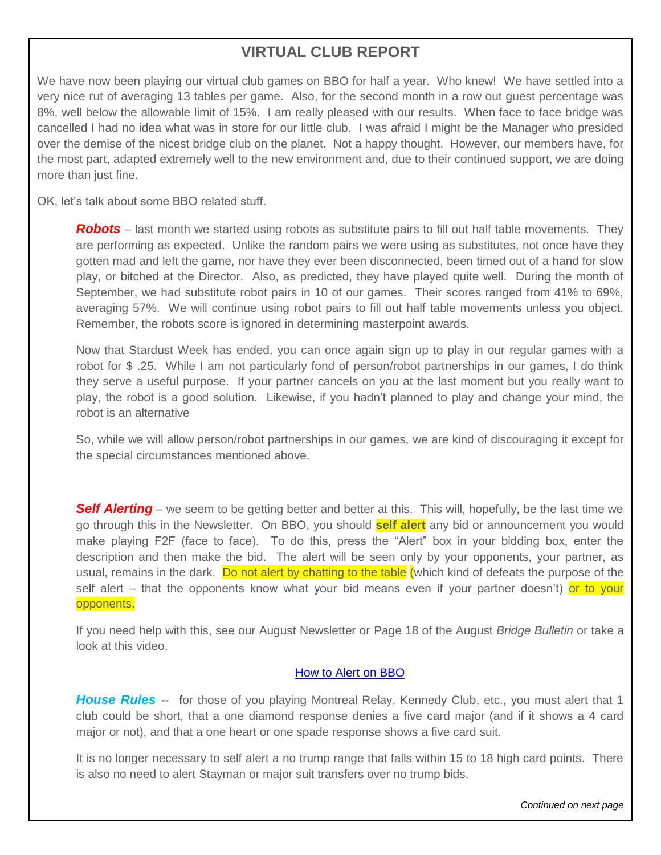## **VIRTUAL CLUB REPORT**

We have now been playing our virtual club games on BBO for half a year. Who knew! We have settled into a very nice rut of averaging 13 tables per game. Also, for the second month in a row out guest percentage was 8%, well below the allowable limit of 15%. I am really pleased with our results. When face to face bridge was cancelled I had no idea what was in store for our little club. I was afraid I might be the Manager who presided over the demise of the nicest bridge club on the planet. Not a happy thought. However, our members have, for the most part, adapted extremely well to the new environment and, due to their continued support, we are doing more than just fine.

OK, let's talk about some BBO related stuff.

*Robots* – last month we started using robots as substitute pairs to fill out half table movements. They are performing as expected. Unlike the random pairs we were using as substitutes, not once have they gotten mad and left the game, nor have they ever been disconnected, been timed out of a hand for slow play, or bitched at the Director. Also, as predicted, they have played quite well. During the month of September, we had substitute robot pairs in 10 of our games. Their scores ranged from 41% to 69%, averaging 57%. We will continue using robot pairs to fill out half table movements unless you object. Remember, the robots score is ignored in determining masterpoint awards.

Now that Stardust Week has ended, you can once again sign up to play in our regular games with a robot for \$ .25. While I am not particularly fond of person/robot partnerships in our games, I do think they serve a useful purpose. If your partner cancels on you at the last moment but you really want to play, the robot is a good solution. Likewise, if you hadn't planned to play and change your mind, the robot is an alternative

So, while we will allow person/robot partnerships in our games, we are kind of discouraging it except for the special circumstances mentioned above.

**Self Alerting** – we seem to be getting better and better at this. This will, hopefully, be the last time we go through this in the Newsletter. On BBO, you should **self alert** any bid or announcement you would make playing F2F (face to face). To do this, press the "Alert" box in your bidding box, enter the description and then make the bid. The alert will be seen only by your opponents, your partner, as usual, remains in the dark. Do not alert by chatting to the table (which kind of defeats the purpose of the self alert – that the opponents know what your bid means even if your partner doesn't) or to your opponents.

If you need help with this, see our August Newsletter or Page 18 of the August *Bridge Bulletin* or take a look at this video.

#### [How to Alert on BBO](https://zoom.us/rec/play/tJAlcuGqpjk3TNeQ4wSDVKQrW9W-LPqshnRI_KcOzka3V3ICZlOkYOQaYOMGGbkQLn-lKFQnmd8wxQdI?autoplay=true&startTime=1585578896000)

**House Rules** -- for those of you playing Montreal Relay, Kennedy Club, etc., you must alert that 1 club could be short, that a one diamond response denies a five card major (and if it shows a 4 card major or not), and that a one heart or one spade response shows a five card suit.

It is no longer necessary to self alert a no trump range that falls within 15 to 18 high card points. There is also no need to alert Stayman or major suit transfers over no trump bids.

*Continued on next page*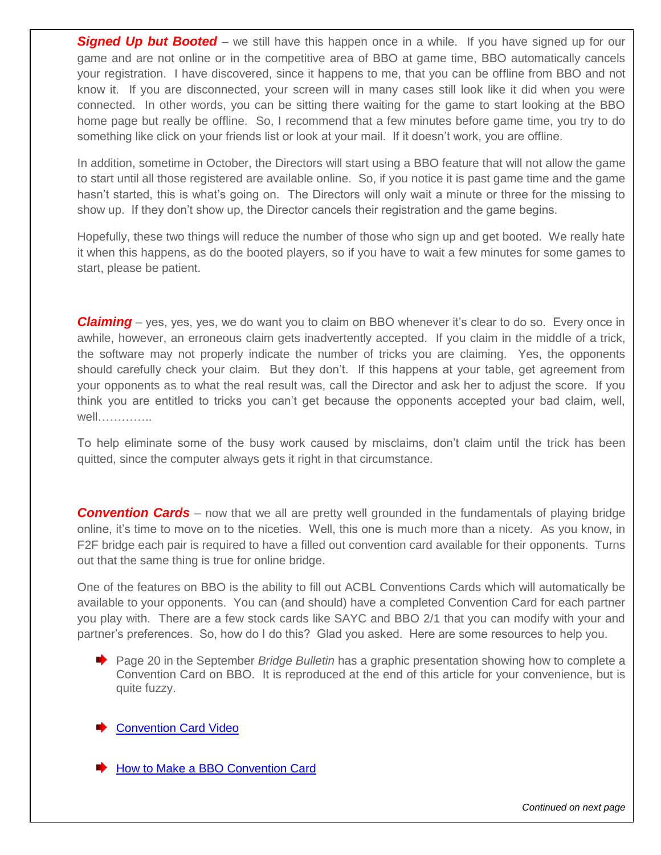**Signed Up but Booted** – we still have this happen once in a while. If you have signed up for our game and are not online or in the competitive area of BBO at game time, BBO automatically cancels your registration. I have discovered, since it happens to me, that you can be offline from BBO and not know it. If you are disconnected, your screen will in many cases still look like it did when you were connected. In other words, you can be sitting there waiting for the game to start looking at the BBO home page but really be offline. So, I recommend that a few minutes before game time, you try to do something like click on your friends list or look at your mail. If it doesn't work, you are offline.

In addition, sometime in October, the Directors will start using a BBO feature that will not allow the game to start until all those registered are available online. So, if you notice it is past game time and the game hasn't started, this is what's going on. The Directors will only wait a minute or three for the missing to show up. If they don't show up, the Director cancels their registration and the game begins.

Hopefully, these two things will reduce the number of those who sign up and get booted. We really hate it when this happens, as do the booted players, so if you have to wait a few minutes for some games to start, please be patient.

*Claiming* – yes, yes, yes, we do want you to claim on BBO whenever it's clear to do so. Every once in awhile, however, an erroneous claim gets inadvertently accepted. If you claim in the middle of a trick, the software may not properly indicate the number of tricks you are claiming. Yes, the opponents should carefully check your claim. But they don't. If this happens at your table, get agreement from your opponents as to what the real result was, call the Director and ask her to adjust the score. If you think you are entitled to tricks you can't get because the opponents accepted your bad claim, well, well…………..

To help eliminate some of the busy work caused by misclaims, don't claim until the trick has been quitted, since the computer always gets it right in that circumstance.

*Convention Cards* – now that we all are pretty well grounded in the fundamentals of playing bridge online, it's time to move on to the niceties. Well, this one is much more than a nicety. As you know, in F2F bridge each pair is required to have a filled out convention card available for their opponents. Turns out that the same thing is true for online bridge.

One of the features on BBO is the ability to fill out ACBL Conventions Cards which will automatically be available to your opponents. You can (and should) have a completed Convention Card for each partner you play with. There are a few stock cards like SAYC and BBO 2/1 that you can modify with your and partner's preferences. So, how do I do this? Glad you asked. Here are some resources to help you.

◆ Page 20 in the September *Bridge Bulletin* has a graphic presentation showing how to complete a Convention Card on BBO. It is reproduced at the end of this article for your convenience, but is quite fuzzy.

**[Convention Card Video](https://www.bing.com/videos/search?q=convention+cards+on+bbo&docid=608036475972619327&mid=D756C1E06BAA9C1C7CD1D756C1E06BAA9C1C7CD1&view=detail&FORM=VIRE)** 

**► [How to Make a BBO Convention Card](https://zoom.us/rec/play/6MAsI-v7qW83ToXGtwSDAfVxW9S8Kais1CUbqfBZnUrkBSRSN1H0Z7NEYeGVQZmmtrAjiJ24QSOTvrx8?autoplay=true&startTime=1585566516000)**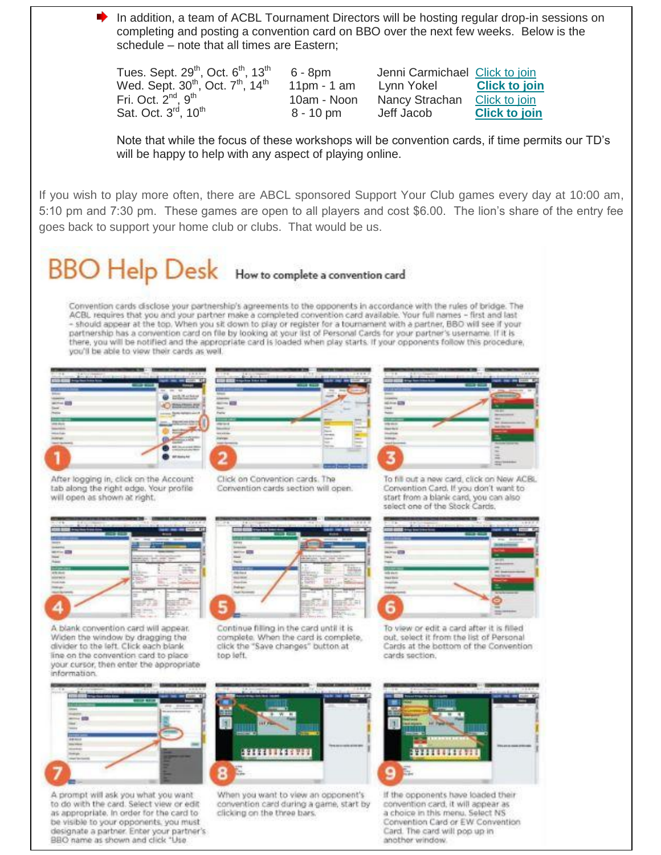In addition, a team of ACBL Tournament Directors will be hosting regular drop-in sessions on completing and posting a convention card on BBO over the next few weeks. Below is the schedule – note that all times are Eastern;

Tues. Sept.  $29<sup>th</sup>$ , Oct.  $6<sup>th</sup>$ , 13<sup>th</sup> Wed. Sept.  $30<sup>th</sup>$ , Oct.  $7<sup>th</sup>$ , 14<sup>th</sup> Fri. Oct.  $2^{nd}$ ,  $9^{th}$ Sat. Oct.  $3<sup>rd</sup>$ , 10<sup>th</sup>

 6 - 8pm Jenni Carmichael [Click to join](https://acbl.us17.list-manage.com/track/click?u=0a09fd687ebd2b74a40bba3c4&id=f0129ea1fa&e=7c3103c482) 11pm - 1 am Lynn Yokel **[Click to join](https://acbl.us17.list-manage.com/track/click?u=0a09fd687ebd2b74a40bba3c4&id=d5b2679dde&e=7c3103c482)** 10am - Noon Nancy Strachan [Click to join](https://acbl.us17.list-manage.com/track/click?u=0a09fd687ebd2b74a40bba3c4&id=7797cf7cd4&e=7c3103c482) 8 - 10 pm Jeff Jacob **[Click to join](https://acbl.us17.list-manage.com/track/click?u=0a09fd687ebd2b74a40bba3c4&id=68c87c9b7b&e=7c3103c482)**

Note that while the focus of these workshops will be convention cards, if time permits our TD's will be happy to help with any aspect of playing online.

If you wish to play more often, there are ABCL sponsored Support Your Club games every day at 10:00 am, 5:10 pm and 7:30 pm. These games are open to all players and cost \$6.00. The lion's share of the entry fee goes back to support your home club or clubs. That would be us.

# BBO Help Desk How to complete a convention card

Convention cards disclose your partnership's agreements to the opponents in accordance with the rules of bridge. The ACBL requires that you and your partner make a completed convention card available. Your full names - first and last - should appear at the top. When you sit down to play or register for a tournament with a partner, BBO will see if your partnership has a convention card on file by looking at your list of Personal Cards for your partner's username. If it is there, you will be notified and the appropriate card is loaded when play starts. If your opponents follow this procedure, you'll be able to view their cards as well.



After logging in, click on the Account tab along the right edge. Your profile

will open as shown at right.





To fill out a new card, click on New ACBL Convention Card. If you don't want to start from a blank card, you can also



A blank convention card will appear. Widen the window by dragging the divider to the left. Click each blank line on the convention card to place your cursor, then enter the appropriate information

Click on Convention cards. The Convention cards section will open.



Continue filling in the card until it is complete. When the card is complete, click the "Save changes" button at top left.

select one of the Stock Cards.



To view or edit a card after it is filled out, select it from the list of Personal Cards at the bottom of the Convention cards section.



A prompt will ask you what you want to do with the card. Select view or edit as appropriate. In order for the card to be visible to your opponents, you must designate a partner. Enter your partner's BBO name as shown and click "Use



When you want to view an opponent's convention card during a game, start by clicking on the three bars.



If the opponents have loaded their convention card, it will appear as a choice in this menu. Solect NS Convention Card or EW Convention Card. The card will pop up in another window.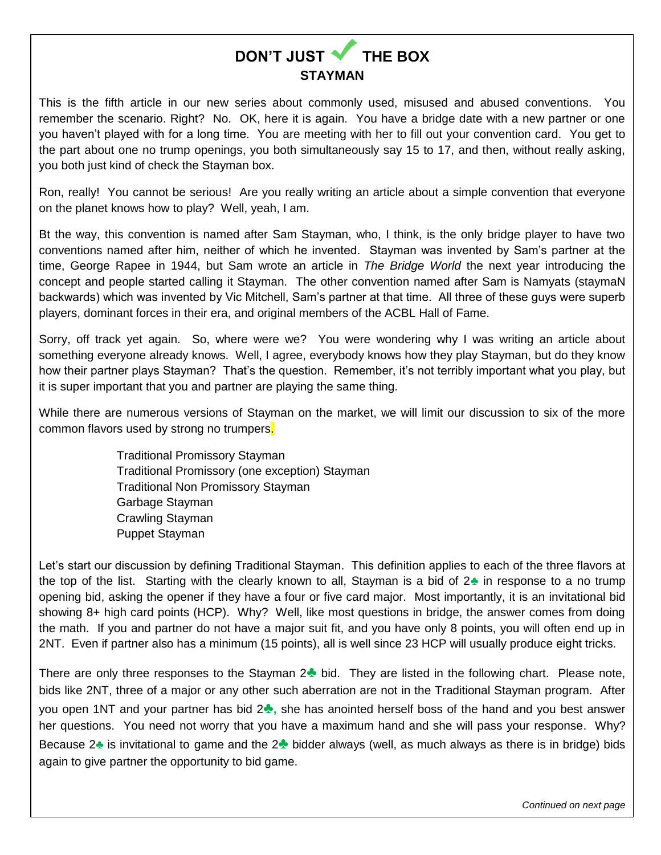

This is the fifth article in our new series about commonly used, misused and abused conventions. You remember the scenario. Right? No. OK, here it is again. You have a bridge date with a new partner or one you haven't played with for a long time. You are meeting with her to fill out your convention card. You get to the part about one no trump openings, you both simultaneously say 15 to 17, and then, without really asking, you both just kind of check the Stayman box.

Ron, really! You cannot be serious! Are you really writing an article about a simple convention that everyone on the planet knows how to play? Well, yeah, I am.

Bt the way, this convention is named after Sam Stayman, who, I think, is the only bridge player to have two conventions named after him, neither of which he invented. Stayman was invented by Sam's partner at the time, George Rapee in 1944, but Sam wrote an article in *The Bridge World* the next year introducing the concept and people started calling it Stayman. The other convention named after Sam is Namyats (staymaN backwards) which was invented by Vic Mitchell, Sam's partner at that time. All three of these guys were superb players, dominant forces in their era, and original members of the ACBL Hall of Fame.

Sorry, off track yet again. So, where were we? You were wondering why I was writing an article about something everyone already knows. Well, I agree, everybody knows how they play Stayman, but do they know how their partner plays Stayman? That's the question. Remember, it's not terribly important what you play, but it is super important that you and partner are playing the same thing.

While there are numerous versions of Stayman on the market, we will limit our discussion to six of the more common flavors used by strong no trumpers.

> Traditional Promissory Stayman Traditional Promissory (one exception) Stayman Traditional Non Promissory Stayman Garbage Stayman Crawling Stayman Puppet Stayman

Let's start our discussion by defining Traditional Stayman. This definition applies to each of the three flavors at the top of the list. Starting with the clearly known to all, Stayman is a bid of 2**♣** in response to a no trump opening bid, asking the opener if they have a four or five card major. Most importantly, it is an invitational bid showing 8+ high card points (HCP). Why? Well, like most questions in bridge, the answer comes from doing the math. If you and partner do not have a major suit fit, and you have only 8 points, you will often end up in 2NT. Even if partner also has a minimum (15 points), all is well since 23 HCP will usually produce eight tricks.

There are only three responses to the Stayman 2**♣** bid. They are listed in the following chart. Please note, bids like 2NT, three of a major or any other such aberration are not in the Traditional Stayman program. After you open 1NT and your partner has bid 2**♣,** she has anointed herself boss of the hand and you best answer her questions. You need not worry that you have a maximum hand and she will pass your response. Why? Because 2**♣** is invitational to game and the 2**♣** bidder always (well, as much always as there is in bridge) bids again to give partner the opportunity to bid game.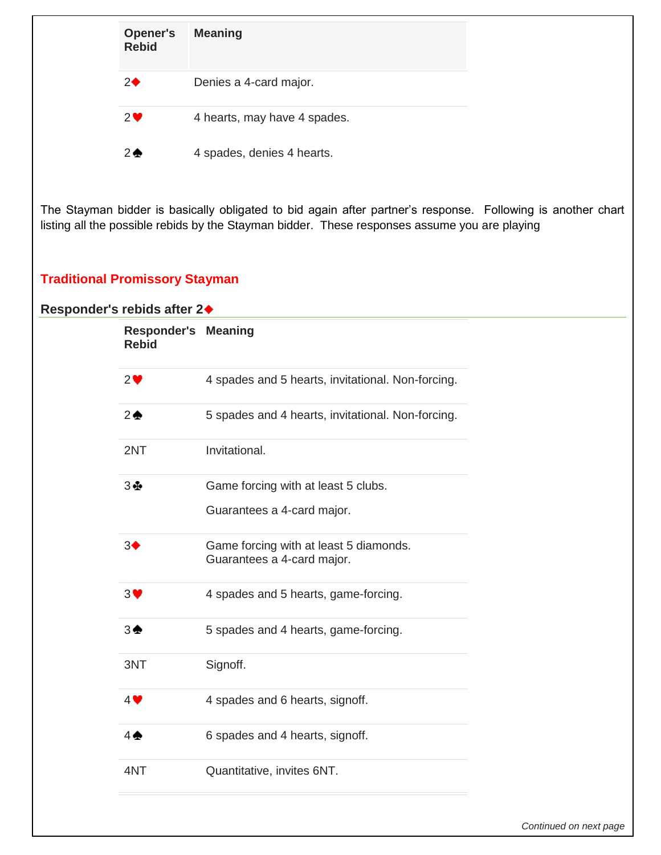| <b>Opener's</b><br><b>Rebid</b> | <b>Meaning</b>               |  |
|---------------------------------|------------------------------|--|
| $2\blacklozenge$                | Denies a 4-card major.       |  |
| $2^{\bullet}$                   | 4 hearts, may have 4 spades. |  |
| $2 \triangle$                   | 4 spades, denies 4 hearts.   |  |

The Stayman bidder is basically obligated to bid again after partner's response. Following is another chart listing all the possible rebids by the Stayman bidder. These responses assume you are playing

#### **Traditional Promissory Stayman**

#### **Responder's rebids after 2**

| <b>Responder's Meaning</b><br><b>Rebid</b> |                                                                      |
|--------------------------------------------|----------------------------------------------------------------------|
| 2                                          | 4 spades and 5 hearts, invitational. Non-forcing.                    |
| $2 \triangle$                              | 5 spades and 4 hearts, invitational. Non-forcing.                    |
| 2NT                                        | Invitational.                                                        |
| 3垂                                         | Game forcing with at least 5 clubs.                                  |
|                                            | Guarantees a 4-card major.                                           |
| $3\blacklozenge$                           | Game forcing with at least 5 diamonds.<br>Guarantees a 4-card major. |
| 3♥                                         | 4 spades and 5 hearts, game-forcing.                                 |
| $3 \spadesuit$                             | 5 spades and 4 hearts, game-forcing.                                 |
| 3NT                                        | Signoff.                                                             |
| $4$ $\blacktriangledown$                   | 4 spades and 6 hearts, signoff.                                      |
| $4 \spadesuit$                             | 6 spades and 4 hearts, signoff.                                      |
| 4NT                                        | Quantitative, invites 6NT.                                           |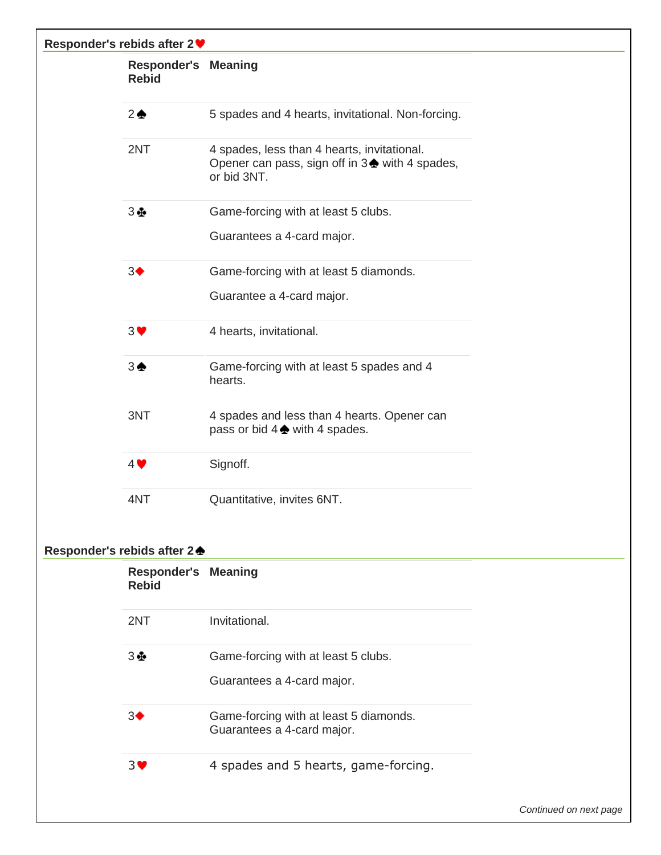| Responder's rebids after 2 ♥ |                                            |                                                                                                               |  |
|------------------------------|--------------------------------------------|---------------------------------------------------------------------------------------------------------------|--|
|                              | <b>Responder's Meaning</b><br><b>Rebid</b> |                                                                                                               |  |
|                              | $2 \triangle$                              | 5 spades and 4 hearts, invitational. Non-forcing.                                                             |  |
|                              | 2NT                                        | 4 spades, less than 4 hearts, invitational.<br>Opener can pass, sign off in 3 ♦ with 4 spades,<br>or bid 3NT. |  |
|                              | 3 ⊕                                        | Game-forcing with at least 5 clubs.                                                                           |  |
|                              |                                            | Guarantees a 4-card major.                                                                                    |  |
|                              | 3 <sup>4</sup>                             | Game-forcing with at least 5 diamonds.                                                                        |  |
|                              |                                            | Guarantee a 4-card major.                                                                                     |  |
|                              | 3♥                                         | 4 hearts, invitational.                                                                                       |  |
|                              | $3\spadesuit$                              | Game-forcing with at least 5 spades and 4<br>hearts.                                                          |  |
|                              | 3NT                                        | 4 spades and less than 4 hearts. Opener can<br>pass or bid $4 \triangleq$ with 4 spades.                      |  |
|                              | $4$ $\blacktriangledown$                   | Signoff.                                                                                                      |  |
|                              | 4NT                                        | Quantitative, invites 6NT.                                                                                    |  |
|                              | Responder's rebids after 2 <del>▲</del>    |                                                                                                               |  |
|                              | <b>Responder's Meaning</b><br><b>Rebid</b> |                                                                                                               |  |
|                              | 2NT                                        | Invitational.                                                                                                 |  |
|                              | 3 ⊕                                        | Game-forcing with at least 5 clubs.                                                                           |  |
|                              |                                            | Guarantees a 4-card major.                                                                                    |  |
|                              | 3 <sup>4</sup>                             | Game-forcing with at least 5 diamonds.<br>Guarantees a 4-card major.                                          |  |
|                              | 3 <sup>4</sup>                             | 4 spades and 5 hearts, game-forcing.                                                                          |  |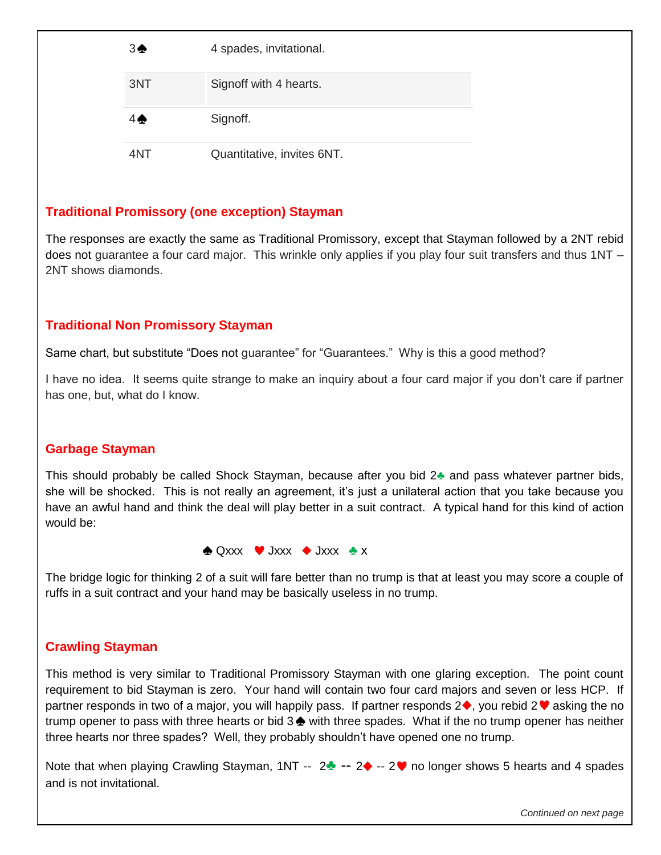| 3♠  | 4 spades, invitational.    |
|-----|----------------------------|
| 3NT | Signoff with 4 hearts.     |
| 4 A | Signoff.                   |
| 4NT | Quantitative, invites 6NT. |

#### **Traditional Promissory (one exception) Stayman**

The responses are exactly the same as Traditional Promissory, except that Stayman followed by a 2NT rebid does not guarantee a four card major. This wrinkle only applies if you play four suit transfers and thus 1NT – 2NT shows diamonds.

#### **Traditional Non Promissory Stayman**

Same chart, but substitute "Does not guarantee" for "Guarantees." Why is this a good method?

I have no idea. It seems quite strange to make an inquiry about a four card major if you don't care if partner has one, but, what do I know.

#### **Garbage Stayman**

This should probably be called Shock Stayman, because after you bid 2**♣** and pass whatever partner bids, she will be shocked. This is not really an agreement, it's just a unilateral action that you take because you have an awful hand and think the deal will play better in a suit contract. A typical hand for this kind of action would be:

Qxxx Jxxx Jxxx **♣** x

The bridge logic for thinking 2 of a suit will fare better than no trump is that at least you may score a couple of ruffs in a suit contract and your hand may be basically useless in no trump.

#### **Crawling Stayman**

This method is very similar to Traditional Promissory Stayman with one glaring exception. The point count requirement to bid Stayman is zero. Your hand will contain two four card majors and seven or less HCP. If partner responds in two of a major, you will happily pass. If partner responds  $2\bullet$ , you rebid  $2\bullet$  asking the no trump opener to pass with three hearts or bid  $3\triangleq$  with three spades. What if the no trump opener has neither three hearts nor three spades? Well, they probably shouldn't have opened one no trump.

Note that when playing Crawling Stayman, 1NT -- 2<del>↓</del> -- 2◆ -- 2♥ no longer shows 5 hearts and 4 spades and is not invitational.

*Continued on next page*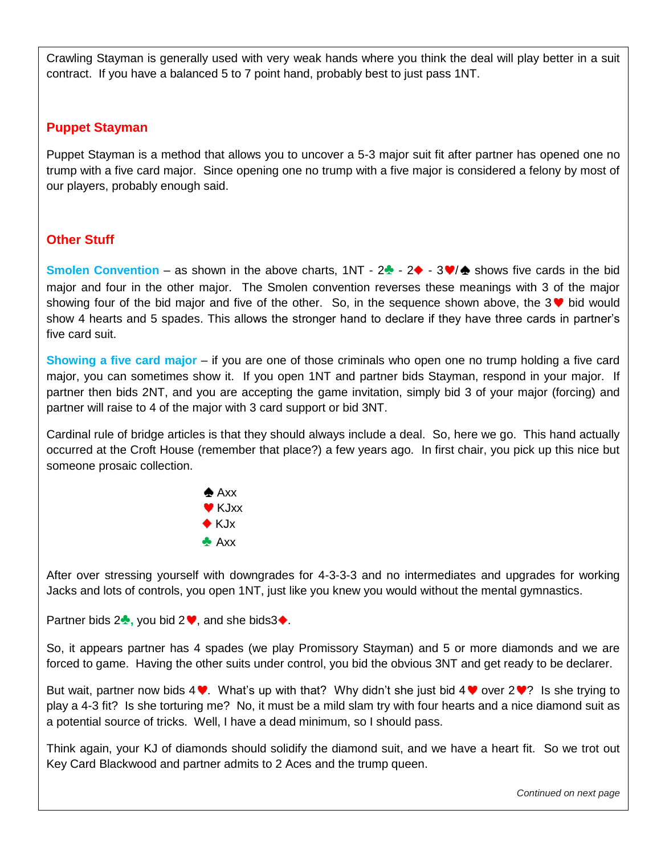Crawling Stayman is generally used with very weak hands where you think the deal will play better in a suit contract. If you have a balanced 5 to 7 point hand, probably best to just pass 1NT.

#### **Puppet Stayman**

Puppet Stayman is a method that allows you to uncover a 5-3 major suit fit after partner has opened one no trump with a five card major. Since opening one no trump with a five major is considered a felony by most of our players, probably enough said.

#### **Other Stuff**

**Smolen Convention** – as shown in the above charts,  $1NT - 2$  -  $2 \cdot 3 \cdot 7$  shows five cards in the bid major and four in the other major. The Smolen convention reverses these meanings with 3 of the major showing four of the bid major and five of the other. So, in the sequence shown above, the 3  $\blacktriangledown$  bid would show 4 hearts and 5 spades. This allows the stronger hand to declare if they have three cards in partner's five card suit.

**Showing a five card major** – if you are one of those criminals who open one no trump holding a five card major, you can sometimes show it. If you open 1NT and partner bids Stayman, respond in your major. If partner then bids 2NT, and you are accepting the game invitation, simply bid 3 of your major (forcing) and partner will raise to 4 of the major with 3 card support or bid 3NT.

Cardinal rule of bridge articles is that they should always include a deal. So, here we go. This hand actually occurred at the Croft House (remember that place?) a few years ago. In first chair, you pick up this nice but someone prosaic collection.



After over stressing yourself with downgrades for 4-3-3-3 and no intermediates and upgrades for working Jacks and lots of controls, you open 1NT, just like you knew you would without the mental gymnastics.

Partner bids 2<sup>₺</sup>, you bid 2 <sup>♦</sup>, and she bids3♦.

So, it appears partner has 4 spades (we play Promissory Stayman) and 5 or more diamonds and we are forced to game. Having the other suits under control, you bid the obvious 3NT and get ready to be declarer.

But wait, partner now bids  $4\Psi$ . What's up with that? Why didn't she just bid  $4\Psi$  over  $2\Psi$ ? Is she trying to play a 4-3 fit? Is she torturing me? No, it must be a mild slam try with four hearts and a nice diamond suit as a potential source of tricks. Well, I have a dead minimum, so I should pass.

Think again, your KJ of diamonds should solidify the diamond suit, and we have a heart fit. So we trot out Key Card Blackwood and partner admits to 2 Aces and the trump queen.

*Continued on next page*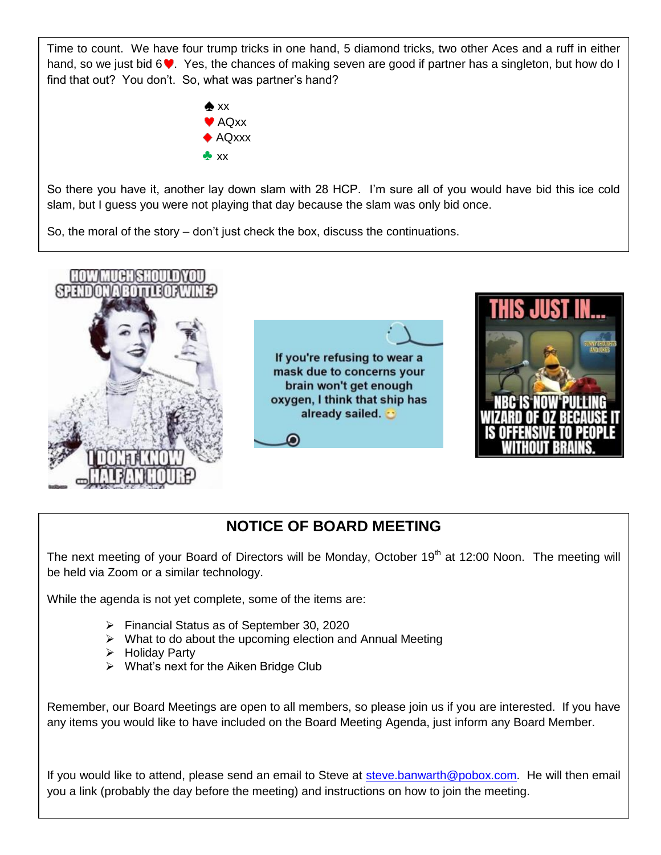Time to count. We have four trump tricks in one hand, 5 diamond tricks, two other Aces and a ruff in either hand, so we just bid  $6\blacktriangledown$ . Yes, the chances of making seven are good if partner has a singleton, but how do I find that out? You don't. So, what was partner's hand?



So there you have it, another lay down slam with 28 HCP. I'm sure all of you would have bid this ice cold slam, but I guess you were not playing that day because the slam was only bid once.

So, the moral of the story – don't just check the box, discuss the continuations.



## **NOTICE OF BOARD MEETING**

The next meeting of your Board of Directors will be Monday, October 19<sup>th</sup> at 12:00 Noon. The meeting will be held via Zoom or a similar technology.

While the agenda is not yet complete, some of the items are:

- Financial Status as of September 30, 2020
- $\triangleright$  What to do about the upcoming election and Annual Meeting
- $\triangleright$  Holiday Party
- $\triangleright$  What's next for the Aiken Bridge Club

Remember, our Board Meetings are open to all members, so please join us if you are interested. If you have any items you would like to have included on the Board Meeting Agenda, just inform any Board Member.

If you would like to attend, please send an email to Steve at [steve.banwarth@pobox.com.](mailto:steve.banwarth@pobox.com) He will then email you a link (probably the day before the meeting) and instructions on how to join the meeting.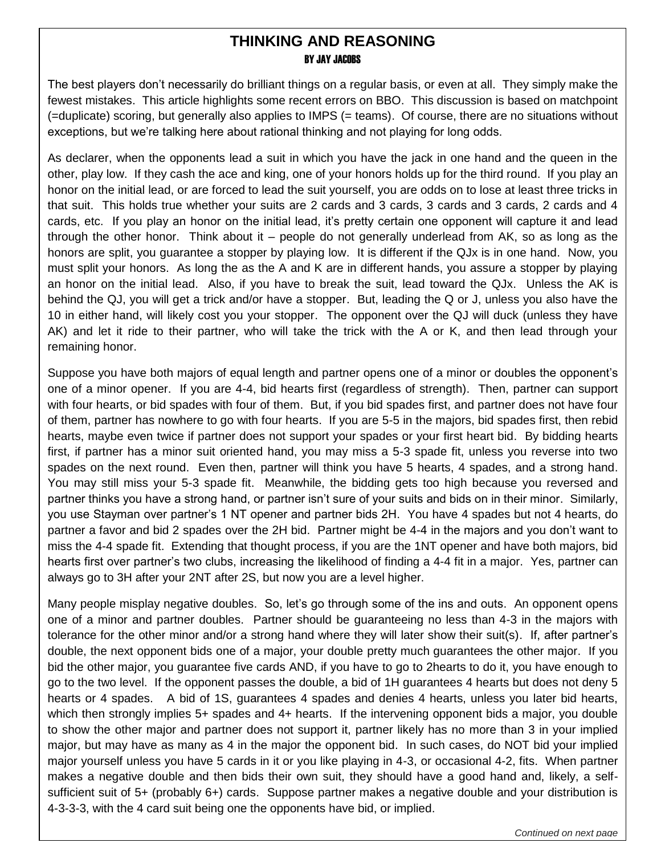#### **THINKING AND REASONING BY JAY JACOBS**

The best players don't necessarily do brilliant things on a regular basis, or even at all. They simply make the fewest mistakes. This article highlights some recent errors on BBO. This discussion is based on matchpoint (=duplicate) scoring, but generally also applies to IMPS (= teams). Of course, there are no situations without exceptions, but we're talking here about rational thinking and not playing for long odds.

As declarer, when the opponents lead a suit in which you have the jack in one hand and the queen in the other, play low. If they cash the ace and king, one of your honors holds up for the third round. If you play an honor on the initial lead, or are forced to lead the suit yourself, you are odds on to lose at least three tricks in that suit. This holds true whether your suits are 2 cards and 3 cards, 3 cards and 3 cards, 2 cards and 4 cards, etc. If you play an honor on the initial lead, it's pretty certain one opponent will capture it and lead through the other honor. Think about it – people do not generally underlead from AK, so as long as the honors are split, you guarantee a stopper by playing low. It is different if the QJx is in one hand. Now, you must split your honors. As long the as the A and K are in different hands, you assure a stopper by playing an honor on the initial lead. Also, if you have to break the suit, lead toward the QJx. Unless the AK is behind the QJ, you will get a trick and/or have a stopper. But, leading the Q or J, unless you also have the 10 in either hand, will likely cost you your stopper. The opponent over the QJ will duck (unless they have AK) and let it ride to their partner, who will take the trick with the A or K, and then lead through your remaining honor.

Suppose you have both majors of equal length and partner opens one of a minor or doubles the opponent's one of a minor opener. If you are 4-4, bid hearts first (regardless of strength). Then, partner can support with four hearts, or bid spades with four of them. But, if you bid spades first, and partner does not have four of them, partner has nowhere to go with four hearts. If you are 5-5 in the majors, bid spades first, then rebid hearts, maybe even twice if partner does not support your spades or your first heart bid. By bidding hearts first, if partner has a minor suit oriented hand, you may miss a 5-3 spade fit, unless you reverse into two spades on the next round. Even then, partner will think you have 5 hearts, 4 spades, and a strong hand. You may still miss your 5-3 spade fit. Meanwhile, the bidding gets too high because you reversed and partner thinks you have a strong hand, or partner isn't sure of your suits and bids on in their minor. Similarly, you use Stayman over partner's 1 NT opener and partner bids 2H. You have 4 spades but not 4 hearts, do partner a favor and bid 2 spades over the 2H bid. Partner might be 4-4 in the majors and you don't want to miss the 4-4 spade fit. Extending that thought process, if you are the 1NT opener and have both majors, bid hearts first over partner's two clubs, increasing the likelihood of finding a 4-4 fit in a major. Yes, partner can always go to 3H after your 2NT after 2S, but now you are a level higher.

Many people misplay negative doubles. So, let's go through some of the ins and outs. An opponent opens one of a minor and partner doubles. Partner should be guaranteeing no less than 4-3 in the majors with tolerance for the other minor and/or a strong hand where they will later show their suit(s). If, after partner's double, the next opponent bids one of a major, your double pretty much guarantees the other major. If you bid the other major, you guarantee five cards AND, if you have to go to 2hearts to do it, you have enough to go to the two level. If the opponent passes the double, a bid of 1H guarantees 4 hearts but does not deny 5 hearts or 4 spades. A bid of 1S, guarantees 4 spades and denies 4 hearts, unless you later bid hearts, which then strongly implies 5+ spades and 4+ hearts. If the intervening opponent bids a major, you double to show the other major and partner does not support it, partner likely has no more than 3 in your implied major, but may have as many as 4 in the major the opponent bid. In such cases, do NOT bid your implied major yourself unless you have 5 cards in it or you like playing in 4-3, or occasional 4-2, fits. When partner makes a negative double and then bids their own suit, they should have a good hand and, likely, a selfsufficient suit of 5+ (probably 6+) cards. Suppose partner makes a negative double and your distribution is 4-3-3-3, with the 4 card suit being one the opponents have bid, or implied.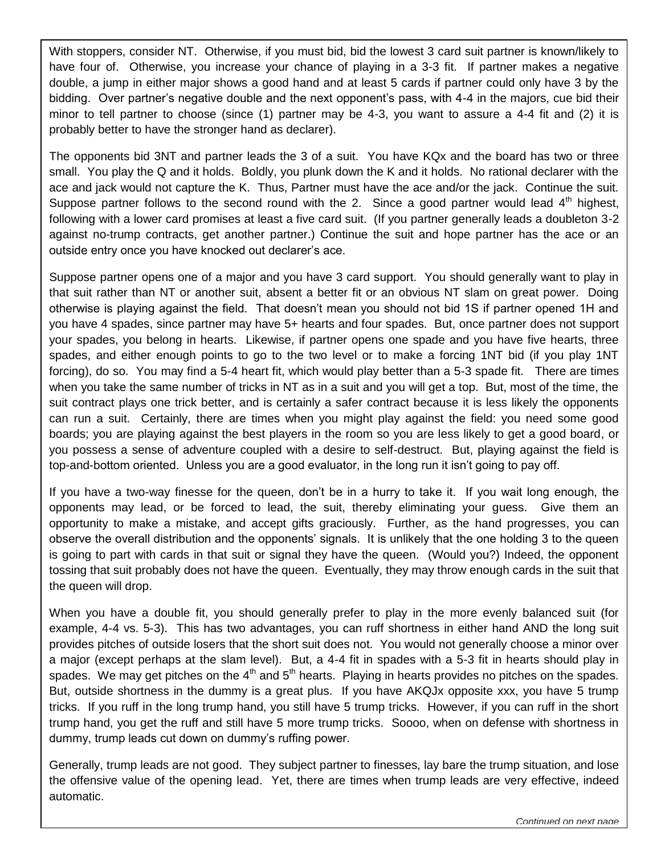With stoppers, consider NT. Otherwise, if you must bid, bid the lowest 3 card suit partner is known/likely to have four of. Otherwise, you increase your chance of playing in a 3-3 fit. If partner makes a negative double, a jump in either major shows a good hand and at least 5 cards if partner could only have 3 by the bidding. Over partner's negative double and the next opponent's pass, with 4-4 in the majors, cue bid their minor to tell partner to choose (since (1) partner may be 4-3, you want to assure a 4-4 fit and (2) it is probably better to have the stronger hand as declarer).

The opponents bid 3NT and partner leads the 3 of a suit. You have KQx and the board has two or three small. You play the Q and it holds. Boldly, you plunk down the K and it holds. No rational declarer with the ace and jack would not capture the K. Thus, Partner must have the ace and/or the jack. Continue the suit. Suppose partner follows to the second round with the 2. Since a good partner would lead  $4<sup>th</sup>$  highest, following with a lower card promises at least a five card suit. (If you partner generally leads a doubleton 3-2 against no-trump contracts, get another partner.) Continue the suit and hope partner has the ace or an outside entry once you have knocked out declarer's ace.

Suppose partner opens one of a major and you have 3 card support. You should generally want to play in that suit rather than NT or another suit, absent a better fit or an obvious NT slam on great power. Doing otherwise is playing against the field. That doesn't mean you should not bid 1S if partner opened 1H and you have 4 spades, since partner may have 5+ hearts and four spades. But, once partner does not support your spades, you belong in hearts. Likewise, if partner opens one spade and you have five hearts, three spades, and either enough points to go to the two level or to make a forcing 1NT bid (if you play 1NT forcing), do so. You may find a 5-4 heart fit, which would play better than a 5-3 spade fit. There are times when you take the same number of tricks in NT as in a suit and you will get a top. But, most of the time, the suit contract plays one trick better, and is certainly a safer contract because it is less likely the opponents can run a suit. Certainly, there are times when you might play against the field: you need some good boards; you are playing against the best players in the room so you are less likely to get a good board, or you possess a sense of adventure coupled with a desire to self-destruct. But, playing against the field is top-and-bottom oriented. Unless you are a good evaluator, in the long run it isn't going to pay off.

If you have a two-way finesse for the queen, don't be in a hurry to take it. If you wait long enough, the opponents may lead, or be forced to lead, the suit, thereby eliminating your guess. Give them an opportunity to make a mistake, and accept gifts graciously. Further, as the hand progresses, you can observe the overall distribution and the opponents' signals. It is unlikely that the one holding 3 to the queen is going to part with cards in that suit or signal they have the queen. (Would you?) Indeed, the opponent tossing that suit probably does not have the queen. Eventually, they may throw enough cards in the suit that the queen will drop.

When you have a double fit, you should generally prefer to play in the more evenly balanced suit (for example, 4-4 vs. 5-3). This has two advantages, you can ruff shortness in either hand AND the long suit provides pitches of outside losers that the short suit does not. You would not generally choose a minor over a major (except perhaps at the slam level). But, a 4-4 fit in spades with a 5-3 fit in hearts should play in spades. We may get pitches on the  $4<sup>th</sup>$  and  $5<sup>th</sup>$  hearts. Playing in hearts provides no pitches on the spades. But, outside shortness in the dummy is a great plus. If you have AKQJx opposite xxx, you have 5 trump tricks. If you ruff in the long trump hand, you still have 5 trump tricks. However, if you can ruff in the short trump hand, you get the ruff and still have 5 more trump tricks. Soooo, when on defense with shortness in dummy, trump leads cut down on dummy's ruffing power.

Generally, trump leads are not good. They subject partner to finesses, lay bare the trump situation, and lose the offensive value of the opening lead. Yet, there are times when trump leads are very effective, indeed automatic.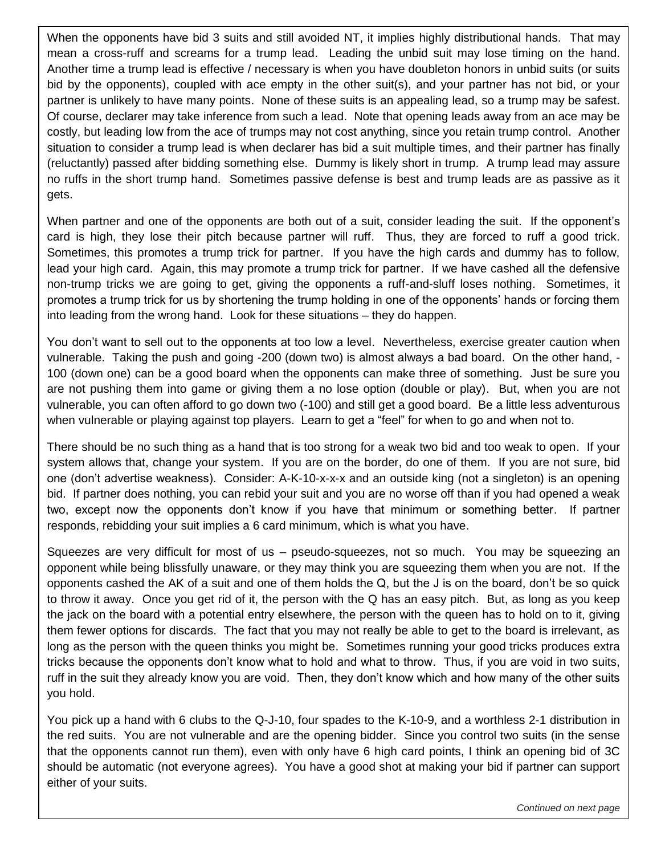When the opponents have bid 3 suits and still avoided NT, it implies highly distributional hands. That may mean a cross-ruff and screams for a trump lead. Leading the unbid suit may lose timing on the hand. Another time a trump lead is effective / necessary is when you have doubleton honors in unbid suits (or suits bid by the opponents), coupled with ace empty in the other suit(s), and your partner has not bid, or your partner is unlikely to have many points. None of these suits is an appealing lead, so a trump may be safest. Of course, declarer may take inference from such a lead. Note that opening leads away from an ace may be costly, but leading low from the ace of trumps may not cost anything, since you retain trump control. Another situation to consider a trump lead is when declarer has bid a suit multiple times, and their partner has finally (reluctantly) passed after bidding something else. Dummy is likely short in trump. A trump lead may assure no ruffs in the short trump hand. Sometimes passive defense is best and trump leads are as passive as it gets.

When partner and one of the opponents are both out of a suit, consider leading the suit. If the opponent's card is high, they lose their pitch because partner will ruff. Thus, they are forced to ruff a good trick. Sometimes, this promotes a trump trick for partner. If you have the high cards and dummy has to follow, lead your high card. Again, this may promote a trump trick for partner. If we have cashed all the defensive non-trump tricks we are going to get, giving the opponents a ruff-and-sluff loses nothing. Sometimes, it promotes a trump trick for us by shortening the trump holding in one of the opponents' hands or forcing them into leading from the wrong hand. Look for these situations – they do happen.

You don't want to sell out to the opponents at too low a level. Nevertheless, exercise greater caution when vulnerable. Taking the push and going -200 (down two) is almost always a bad board. On the other hand, - 100 (down one) can be a good board when the opponents can make three of something. Just be sure you are not pushing them into game or giving them a no lose option (double or play). But, when you are not vulnerable, you can often afford to go down two (-100) and still get a good board. Be a little less adventurous when vulnerable or playing against top players. Learn to get a "feel" for when to go and when not to.

There should be no such thing as a hand that is too strong for a weak two bid and too weak to open. If your system allows that, change your system. If you are on the border, do one of them. If you are not sure, bid one (don't advertise weakness). Consider: A-K-10-x-x-x and an outside king (not a singleton) is an opening bid. If partner does nothing, you can rebid your suit and you are no worse off than if you had opened a weak two, except now the opponents don't know if you have that minimum or something better. If partner responds, rebidding your suit implies a 6 card minimum, which is what you have.

Squeezes are very difficult for most of us – pseudo-squeezes, not so much. You may be squeezing an opponent while being blissfully unaware, or they may think you are squeezing them when you are not. If the opponents cashed the AK of a suit and one of them holds the Q, but the J is on the board, don't be so quick to throw it away. Once you get rid of it, the person with the Q has an easy pitch. But, as long as you keep the jack on the board with a potential entry elsewhere, the person with the queen has to hold on to it, giving them fewer options for discards. The fact that you may not really be able to get to the board is irrelevant, as long as the person with the queen thinks you might be. Sometimes running your good tricks produces extra tricks because the opponents don't know what to hold and what to throw. Thus, if you are void in two suits, ruff in the suit they already know you are void. Then, they don't know which and how many of the other suits you hold.

You pick up a hand with 6 clubs to the Q-J-10, four spades to the K-10-9, and a worthless 2-1 distribution in the red suits. You are not vulnerable and are the opening bidder. Since you control two suits (in the sense that the opponents cannot run them), even with only have 6 high card points, I think an opening bid of 3C should be automatic (not everyone agrees). You have a good shot at making your bid if partner can support either of your suits.